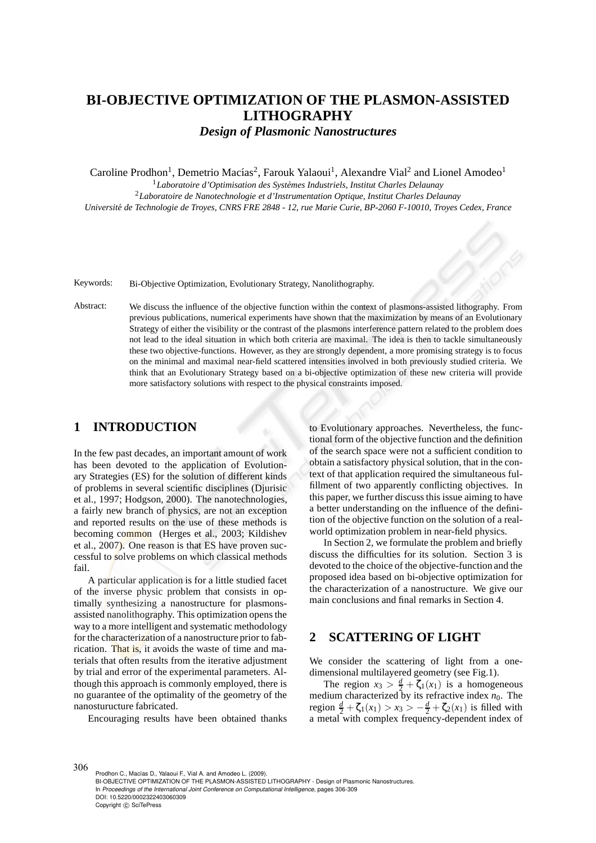# **BI-OBJECTIVE OPTIMIZATION OF THE PLASMON-ASSISTED LITHOGRAPHY**

*Design of Plasmonic Nanostructures*

Caroline Prodhon<sup>1</sup>, Demetrio Macías<sup>2</sup>, Farouk Yalaoui<sup>1</sup>, Alexandre Vial<sup>2</sup> and Lionel Amodeo<sup>1</sup>

<sup>1</sup>Laboratoire d'Optimisation des Systèmes Industriels, Institut Charles Delaunay

<sup>2</sup>*Laboratoire de Nanotechnologie et d'Instrumentation Optique, Institut Charles Delaunay Universit´e de Technologie de Troyes, CNRS FRE 2848 - 12, rue Marie Curie, BP-2060 F-10010, Troyes Cedex, France*

Keywords: Bi-Objective Optimization, Evolutionary Strategy, Nanolithography.

Abstract: We discuss the influence of the objective function within the context of plasmons-assisted lithography. From previous publications, numerical experiments have shown that the maximization by means of an Evolutionary Strategy of either the visibility or the contrast of the plasmons interference pattern related to the problem does not lead to the ideal situation in which both criteria are maximal. The idea is then to tackle simultaneously these two objective-functions. However, as they are strongly dependent, a more promising strategy is to focus on the minimal and maximal near-field scattered intensities involved in both previously studied criteria. We think that an Evolutionary Strategy based on a bi-objective optimization of these new criteria will provide more satisfactory solutions with respect to the physical constraints imposed.

### **1 INTRODUCTION**

In the few past decades, an important amount of work has been devoted to the application of Evolutionary Strategies (ES) for the solution of different kinds of problems in several scientific disciplines (Djurisic et al., 1997; Hodgson, 2000). The nanotechnologies, a fairly new branch of physics, are not an exception and reported results on the use of these methods is becoming common (Herges et al., 2003; Kildishev et al., 2007). One reason is that ES have proven successful to solve problems on which classical methods fail.

A particular application is for a little studied facet of the inverse physic problem that consists in optimally synthesizing a nanostructure for plasmonsassisted nanolithography. This optimization opens the way to a more intelligent and systematic methodology for the characterization of a nanostructure prior to fabrication. That is, it avoids the waste of time and materials that often results from the iterative adjustment by trial and error of the experimental parameters. Although this approach is commonly employed, there is no guarantee of the optimality of the geometry of the nanosturucture fabricated.

Encouraging results have been obtained thanks

to Evolutionary approaches. Nevertheless, the functional form of the objective function and the definition of the search space were not a sufficient condition to obtain a satisfactory physical solution, that in the context of that application required the simultaneous fulfillment of two apparently conflicting objectives. In this paper, we further discuss this issue aiming to have a better understanding on the influence of the definition of the objective function on the solution of a realworld optimization problem in near-field physics.

In Section 2, we formulate the problem and briefly discuss the difficulties for its solution. Section 3 is devoted to the choice of the objective-function and the proposed idea based on bi-objective optimization for the characterization of a nanostructure. We give our main conclusions and final remarks in Section 4.

# **2 SCATTERING OF LIGHT**

We consider the scattering of light from a onedimensional multilayered geometry (see Fig.1).

The region  $x_3 > \frac{d}{2} + \zeta_1(x_1)$  is a homogeneous medium characterized by its refractive index  $n_0$ . The region  $\frac{d}{2} + \zeta_1(x_1) > x_3 > -\frac{d}{2} + \zeta_2(x_1)$  is filled with a metal with complex frequency-dependent index of

Prodhon C., Macías D., Yalaoui F., Vial A. and Amodeo L. (2009). BI-OBJECTIVE OPTIMIZATION OF THE PLASMON-ASSISTED LITHOGRAPHY - Design of Plasmonic Nanostructures. In *Proceedings of the International Joint Conference on Computational Intelligence*, pages 306-309 DOI: 10.5220/0002322403060309 Copyright © SciTePress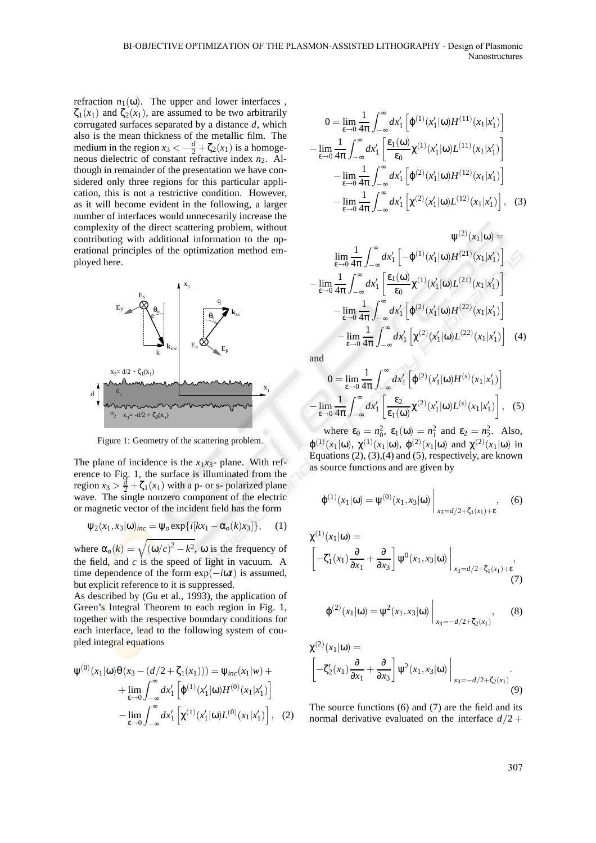refraction  $n_1(\omega)$ . The upper and lower interfaces,  $\zeta_1(x_1)$  and  $\zeta_2(x_1)$ , are assumed to be two arbitrarily corrugated surfaces separated by a distance *d*, which also is the mean thickness of the metallic film. The medium in the region  $x_3 < -\frac{d}{2} + \zeta_2(x_1)$  is a homogeneous dielectric of constant refractive index  $n_2$ . Although in remainder of the presentation we have considered only three regions for this particular application, this is not a restrictive condition. However, as it will become evident in the following, a larger number of interfaces would unnecesarily increase the complexity of the direct scattering problem, without contributing with additional information to the operational principles of the optimization method employed here.



Figure 1: Geometry of the scattering problem.

The plane of incidence is the  $x_1x_3$ - plane. With reference to Fig. 1, the surface is illuminated from the region  $x_3 > \frac{d}{2} + \zeta_1(x_1)$  with a p- or s- polarized plane wave. The single nonzero component of the electric or magnetic vector of the incident field has the form

$$
\Psi_2(x_1,x_3|\omega)_{inc} = \Psi_0 \exp\{i[kx_1-\alpha_0(k)x_3]\},\qquad(1)
$$

where  $\alpha_o(k) = \sqrt{(\omega/c)^2 - k^2}$ ,  $\omega$  is the frequency of the field, and *c* is the speed of light in vacuum. A time dependence of the form exp(−*i*ω*t*) is assumed, but explicit reference to it is suppressed.

As described by (Gu et al., 1993), the application of Green's Integral Theorem to each region in Fig. 1, together with the respective boundary conditions for each interface, lead to the following system of coupled integral equations

$$
\Psi^{(0)}(x_1|\omega)\Theta(x_3 - (d/2 + \zeta_1(x_1))) = \Psi_{inc}(x_1|\omega) +
$$
  
+ 
$$
\lim_{\varepsilon \to 0} \int_{-\infty}^{\infty} dx'_1 \left[ \Phi^{(1)}(x'_1|\omega)H^{(0)}(x_1|x'_1) \right]
$$
  
- 
$$
\lim_{\varepsilon \to 0} \int_{-\infty}^{\infty} dx'_1 \left[ \chi^{(1)}(x'_1|\omega)L^{(0)}(x_1|x'_1) \right], (2)
$$

$$
0 = \lim_{\epsilon \to 0} \frac{1}{4\pi} \int_{-\infty}^{\infty} dx_1' \left[ \varphi^{(1)}(x_1'|\omega) H^{(11)}(x_1|x_1') \right]
$$

$$
- \lim_{\epsilon \to 0} \frac{1}{4\pi} \int_{-\infty}^{\infty} dx_1' \left[ \frac{\epsilon_1(\omega)}{\epsilon_0} \chi^{(1)}(x_1'|\omega) L^{(11)}(x_1|x_1') \right]
$$

$$
- \lim_{\epsilon \to 0} \frac{1}{4\pi} \int_{-\infty}^{\infty} dx_1' \left[ \varphi^{(2)}(x_1'|\omega) H^{(12)}(x_1|x_1') \right]
$$

$$
- \lim_{\epsilon \to 0} \frac{1}{4\pi} \int_{-\infty}^{\infty} dx_1' \left[ \chi^{(2)}(x_1'|\omega) L^{(12)}(x_1|x_1') \right], \quad (3)
$$

$$
\psi^{(2)}(x_1|\omega) =
$$
  
\n
$$
\lim_{\epsilon \to 0} \frac{1}{4\pi} \int_{-\infty}^{\infty} dx'_1 \left[ -\phi^{(1)}(x'_1|\omega)H^{(21)}(x_1|x'_1) \right]
$$
  
\n
$$
-\lim_{\epsilon \to 0} \frac{1}{4\pi} \int_{-\infty}^{\infty} dx'_1 \left[ \frac{\epsilon_1(\omega)}{\epsilon_0} \chi^{(1)}(x'_1|\omega)L^{(21)}(x_1|x'_1) \right]
$$
  
\n
$$
-\lim_{\epsilon \to 0} \frac{1}{4\pi} \int_{-\infty}^{\infty} dx'_1 \left[ \phi^{(2)}(x'_1|\omega)H^{(22)}(x_1|x'_1) \right]
$$
  
\n
$$
-\lim_{\epsilon \to 0} \frac{1}{4\pi} \int_{-\infty}^{\infty} dx'_1 \left[ \chi^{(2)}(x'_1|\omega)L^{(22)}(x_1|x'_1) \right] \quad (4)
$$

and

$$
0 = \lim_{\varepsilon \to 0} \frac{1}{4\pi} \int_{-\infty}^{\infty} dx'_1 \left[ \varphi^{(2)}(x'_1 | \omega) H^{(s)}(x_1 | x'_1) \right]
$$

$$
- \lim_{\varepsilon \to 0} \frac{1}{4\pi} \int_{-\infty}^{\infty} dx'_1 \left[ \frac{\varepsilon_2}{\varepsilon_1(\omega)} \chi^{(2)}(x'_1 | \omega) L^{(s)}(x_1 | x'_1) \right], \quad (5)
$$

where  $\varepsilon_0 = n_0^2$ ,  $\varepsilon_1(\omega) = n_1^2$  and  $\varepsilon_2 = n_2^2$ . Also,  $\varphi^{(1)}(x_1|\omega), \chi^{(1)}(x_1|\omega), \varphi^{(2)}(x_1|\omega)$  and  $\chi^{(2)}(x_1|\omega)$  in Equations  $(2)$ ,  $(3)$ ,  $(4)$  and  $(5)$ , respectively, are known as source functions and are given by

$$
\varphi^{(1)}(x_1|\omega) = \psi^{(0)}(x_1, x_3|\omega) \Big|_{x_3 = d/2 + \zeta_1(x_1) + \epsilon}, \quad (6)
$$

$$
\chi^{(1)}(x_1|\omega) = \left[ -\zeta_1'(x_1)\frac{\partial}{\partial x_1} + \frac{\partial}{\partial x_3} \right] \Psi^0(x_1, x_3|\omega) \Big|_{x_3 = d/2 + \zeta_1(x_1) + \epsilon},
$$
\n(7)

$$
\varphi^{(2)}(x_1|\omega) = \psi^2(x_1, x_3|\omega) \Big|_{x_3 = -d/2 + \zeta_2(x_1)}, \qquad (8)
$$

$$
\chi^{(2)}(x_1|\omega) = \left[ -\zeta_2'(x_1)\frac{\partial}{\partial x_1} + \frac{\partial}{\partial x_3} \right] \Psi^2(x_1, x_3|\omega) \Big|_{x_3 = -d/2 + \zeta_2(x_1)}.
$$
\n(9)

The source functions (6) and (7) are the field and its normal derivative evaluated on the interface  $d/2 +$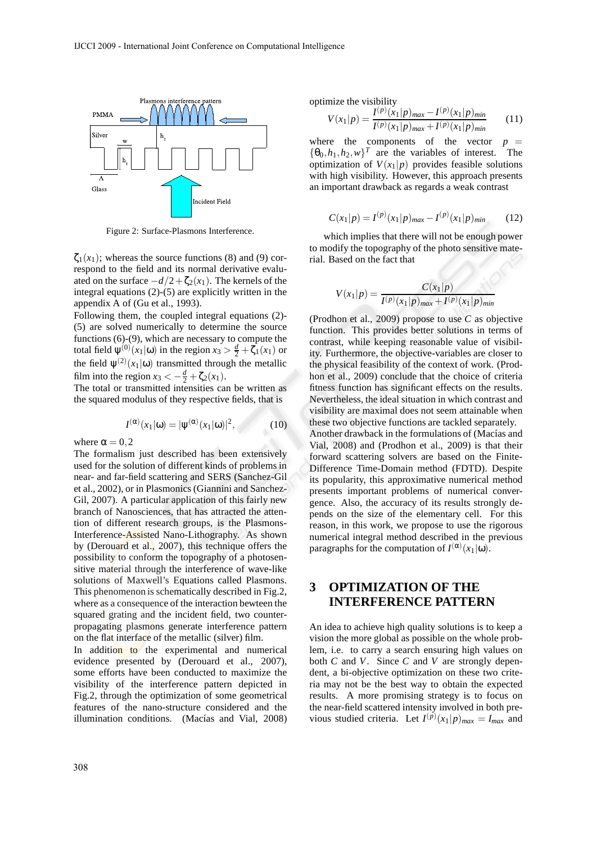

Figure 2: Surface-Plasmons Interference.

 $\zeta_1(x_1)$ ; whereas the source functions (8) and (9) correspond to the field and its normal derivative evaluated on the surface  $-d/2+\zeta_2(x_1)$ . The kernels of the integral equations (2)-(5) are explicitly written in the appendix A of (Gu et al., 1993).

Following them, the coupled integral equations (2)- (5) are solved numerically to determine the source functions (6)-(9), which are necessary to compute the total field  $\psi^{(0)}(x_1|\omega)$  in the region  $x_3 > \frac{d}{2} + \zeta_1(x_1)$  or the field  $\psi^{(2)}(x_1|\omega)$  transmitted through the metallic film into the region  $x_3 < -\frac{d}{2} + \zeta_2(x_1)$ .

The total or transmitted intensities can be written as the squared modulus of they respective fields, that is

$$
I^{(\alpha)}(x_1|\omega) = |\psi^{(\alpha)}(x_1|\omega)|^2, \quad (10)
$$

where  $\alpha = 0.2$ 

The formalism just described has been extensively used for the solution of different kinds of problems in near- and far-field scattering and SERS (Sanchez-Gil et al., 2002), or in Plasmonics (Giannini and Sanchez-Gil, 2007). A particular application of this fairly new branch of Nanosciences, that has attracted the attention of different research groups, is the Plasmons-Interference-Assisted Nano-Lithography. As shown by (Derouard et al., 2007), this technique offers the possibility to conform the topography of a photosensitive material through the interference of wave-like solutions of Maxwell's Equations called Plasmons. This phenomenon is schematically described in Fig.2, where as a consequence of the interaction bewteen the squared grating and the incident field, two counterpropagating plasmons generate interference pattern on the flat interface of the metallic (silver) film.

In addition to the experimental and numerical evidence presented by (Derouard et al., 2007), some efforts have been conducted to maximize the visibility of the interference pattern depicted in Fig.2, through the optimization of some geometrical features of the nano-structure considered and the illumination conditions. (Macías and Vial, 2008) optimize the visibility

$$
V(x_1|p) = \frac{I^{(p)}(x_1|p)_{max} - I^{(p)}(x_1|p)_{min}}{I^{(p)}(x_1|p)_{max} + I^{(p)}(x_1|p)_{min}} \qquad (11)
$$

where the components of the vector  $p =$  ${\lbrace \theta_0, h_1, h_2, w \rbrace}^T$  are the variables of interest. The optimization of  $V(x_1|p)$  provides feasible solutions with high visibility. However, this approach presents an important drawback as regards a weak contrast

$$
C(x_1|p) = I^{(p)}(x_1|p)_{max} - I^{(p)}(x_1|p)_{min} \tag{12}
$$

which implies that there will not be enough power to modify the topography of the photo sensitive material. Based on the fact that

$$
V(x_1|p) = \frac{C(x_1|p)}{I^{(p)}(x_1|p)_{max} + I^{(p)}(x_1|p)_{min}}
$$

(Prodhon et al., 2009) propose to use *C* as objective function. This provides better solutions in terms of contrast, while keeping reasonable value of visibility. Furthermore, the objective-variables are closer to the physical feasibility of the context of work. (Prodhon et al., 2009) conclude that the choice of criteria fitness function has significant effects on the results. Nevertheless, the ideal situation in which contrast and visibility are maximal does not seem attainable when these two objective functions are tackled separately. Another drawback in the formulations of (Macías and Vial, 2008) and (Prodhon et al., 2009) is that their forward scattering solvers are based on the Finite-Difference Time-Domain method (FDTD). Despite its popularity, this approximative numerical method presents important problems of numerical convergence. Also, the accuracy of its results strongly depends on the size of the elementary cell. For this reason, in this work, we propose to use the rigorous numerical integral method described in the previous paragraphs for the computation of  $I^{(\alpha)}(x_1|\omega)$ .

# **3 OPTIMIZATION OF THE INTERFERENCE PATTERN**

An idea to achieve high quality solutions is to keep a vision the more global as possible on the whole problem, i.e. to carry a search ensuring high values on both *C* and *V*. Since *C* and *V* are strongly dependent, a bi-objective optimization on these two criteria may not be the best way to obtain the expected results. A more promising strategy is to focus on the near-field scattered intensity involved in both previous studied criteria. Let  $I^{(p)}(x_1|p)_{max} = I_{max}$  and